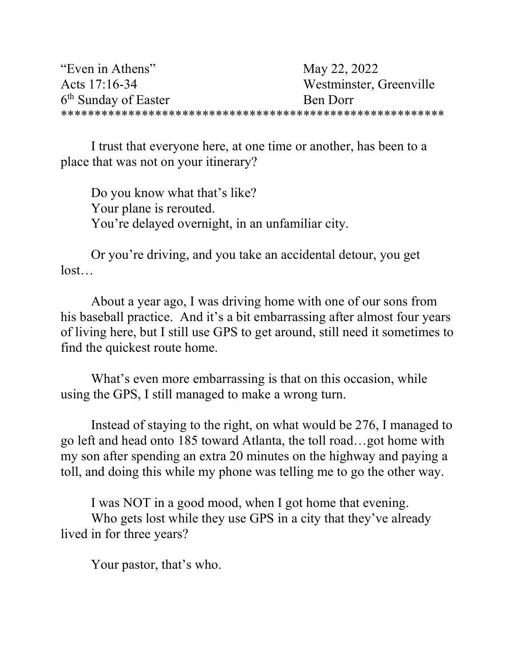| "Even in Athens"                 | May 22, 2022            |
|----------------------------------|-------------------------|
| Acts 17:16-34                    | Westminster, Greenville |
| 6 <sup>th</sup> Sunday of Easter | Ben Dorr                |
|                                  |                         |

 I trust that everyone here, at one time or another, has been to a place that was not on your itinerary?

 Do you know what that's like? Your plane is rerouted. You're delayed overnight, in an unfamiliar city.

Or you're driving, and you take an accidental detour, you get lost…

 About a year ago, I was driving home with one of our sons from his baseball practice. And it's a bit embarrassing after almost four years of living here, but I still use GPS to get around, still need it sometimes to find the quickest route home.

What's even more embarrassing is that on this occasion, while using the GPS, I still managed to make a wrong turn.

 Instead of staying to the right, on what would be 276, I managed to go left and head onto 185 toward Atlanta, the toll road…got home with my son after spending an extra 20 minutes on the highway and paying a toll, and doing this while my phone was telling me to go the other way.

 I was NOT in a good mood, when I got home that evening. Who gets lost while they use GPS in a city that they've already lived in for three years?

Your pastor, that's who.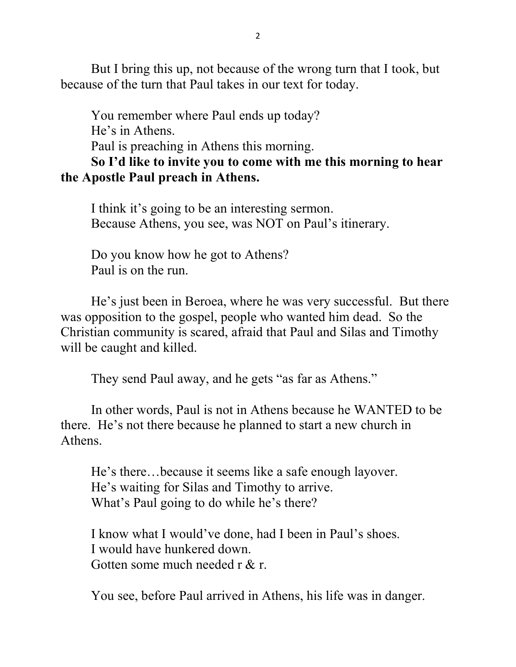But I bring this up, not because of the wrong turn that I took, but because of the turn that Paul takes in our text for today.

You remember where Paul ends up today? He's in Athens. Paul is preaching in Athens this morning. So I'd like to invite you to come with me this morning to hear

## the Apostle Paul preach in Athens.

I think it's going to be an interesting sermon. Because Athens, you see, was NOT on Paul's itinerary.

Do you know how he got to Athens? Paul is on the run.

He's just been in Beroea, where he was very successful. But there was opposition to the gospel, people who wanted him dead. So the Christian community is scared, afraid that Paul and Silas and Timothy will be caught and killed.

They send Paul away, and he gets "as far as Athens."

In other words, Paul is not in Athens because he WANTED to be there. He's not there because he planned to start a new church in Athens.

He's there…because it seems like a safe enough layover. He's waiting for Silas and Timothy to arrive. What's Paul going to do while he's there?

 I know what I would've done, had I been in Paul's shoes. I would have hunkered down. Gotten some much needed r & r.

You see, before Paul arrived in Athens, his life was in danger.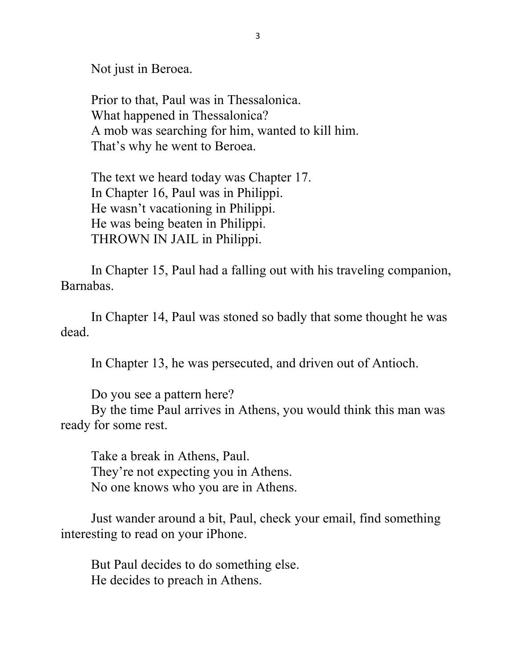Not just in Beroea.

 Prior to that, Paul was in Thessalonica. What happened in Thessalonica? A mob was searching for him, wanted to kill him. That's why he went to Beroea.

 The text we heard today was Chapter 17. In Chapter 16, Paul was in Philippi. He wasn't vacationing in Philippi. He was being beaten in Philippi. THROWN IN JAIL in Philippi.

 In Chapter 15, Paul had a falling out with his traveling companion, Barnabas.

 In Chapter 14, Paul was stoned so badly that some thought he was dead.

In Chapter 13, he was persecuted, and driven out of Antioch.

Do you see a pattern here?

 By the time Paul arrives in Athens, you would think this man was ready for some rest.

Take a break in Athens, Paul. They're not expecting you in Athens. No one knows who you are in Athens.

 Just wander around a bit, Paul, check your email, find something interesting to read on your iPhone.

 But Paul decides to do something else. He decides to preach in Athens.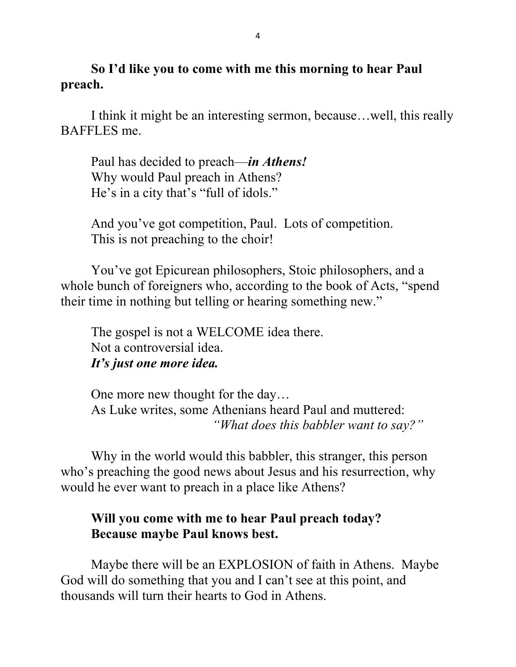So I'd like you to come with me this morning to hear Paul preach.

I think it might be an interesting sermon, because…well, this really BAFFLES me.

Paul has decided to preach—in Athens! Why would Paul preach in Athens? He's in a city that's "full of idols."

 And you've got competition, Paul. Lots of competition. This is not preaching to the choir!

 You've got Epicurean philosophers, Stoic philosophers, and a whole bunch of foreigners who, according to the book of Acts, "spend their time in nothing but telling or hearing something new."

 The gospel is not a WELCOME idea there. Not a controversial idea. It's just one more idea.

 One more new thought for the day… As Luke writes, some Athenians heard Paul and muttered: "What does this babbler want to say?"

 Why in the world would this babbler, this stranger, this person who's preaching the good news about Jesus and his resurrection, why would he ever want to preach in a place like Athens?

## Will you come with me to hear Paul preach today? Because maybe Paul knows best.

Maybe there will be an EXPLOSION of faith in Athens. Maybe God will do something that you and I can't see at this point, and thousands will turn their hearts to God in Athens.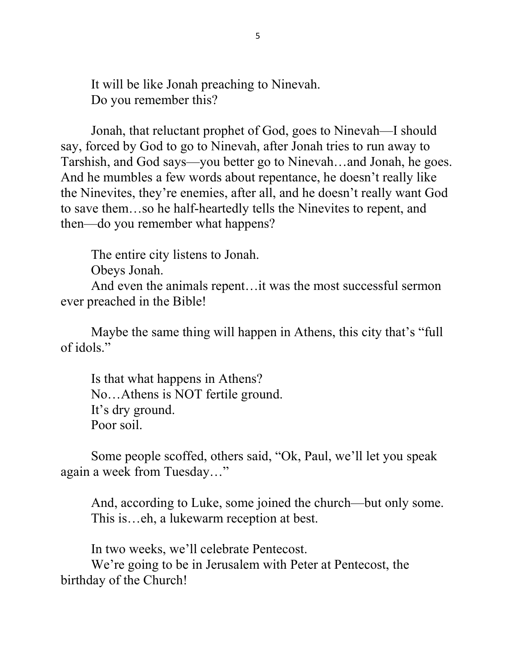It will be like Jonah preaching to Ninevah. Do you remember this?

 Jonah, that reluctant prophet of God, goes to Ninevah—I should say, forced by God to go to Ninevah, after Jonah tries to run away to Tarshish, and God says—you better go to Ninevah…and Jonah, he goes. And he mumbles a few words about repentance, he doesn't really like the Ninevites, they're enemies, after all, and he doesn't really want God to save them…so he half-heartedly tells the Ninevites to repent, and then—do you remember what happens?

The entire city listens to Jonah.

Obeys Jonah.

And even the animals repent…it was the most successful sermon ever preached in the Bible!

 Maybe the same thing will happen in Athens, this city that's "full of idols."

 Is that what happens in Athens? No…Athens is NOT fertile ground. It's dry ground. Poor soil.

 Some people scoffed, others said, "Ok, Paul, we'll let you speak again a week from Tuesday…"

 And, according to Luke, some joined the church—but only some. This is…eh, a lukewarm reception at best.

In two weeks, we'll celebrate Pentecost.

 We're going to be in Jerusalem with Peter at Pentecost, the birthday of the Church!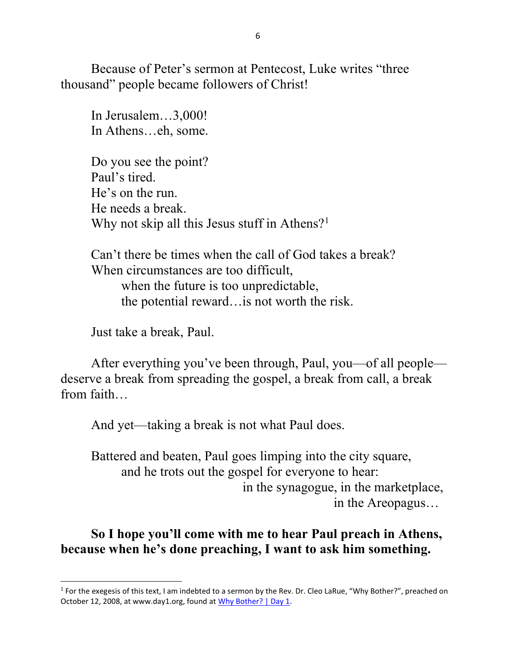Because of Peter's sermon at Pentecost, Luke writes "three thousand" people became followers of Christ!

 In Jerusalem…3,000! In Athens…eh, some.

 Do you see the point? Paul's tired. He's on the run. He needs a break. Why not skip all this Jesus stuff in Athens?<sup>1</sup>

Can't there be times when the call of God takes a break? When circumstances are too difficult, when the future is too unpredictable, the potential reward…is not worth the risk.

Just take a break, Paul.

 After everything you've been through, Paul, you—of all people deserve a break from spreading the gospel, a break from call, a break from faith…

And yet—taking a break is not what Paul does.

 Battered and beaten, Paul goes limping into the city square, and he trots out the gospel for everyone to hear: in the synagogue, in the marketplace, in the Areopagus…

So I hope you'll come with me to hear Paul preach in Athens, because when he's done preaching, I want to ask him something.

<sup>&</sup>lt;sup>1</sup> For the exegesis of this text, I am indebted to a sermon by the Rev. Dr. Cleo LaRue, "Why Bother?", preached on October 12, 2008, at www.day1.org, found at Why Bother? | Day 1.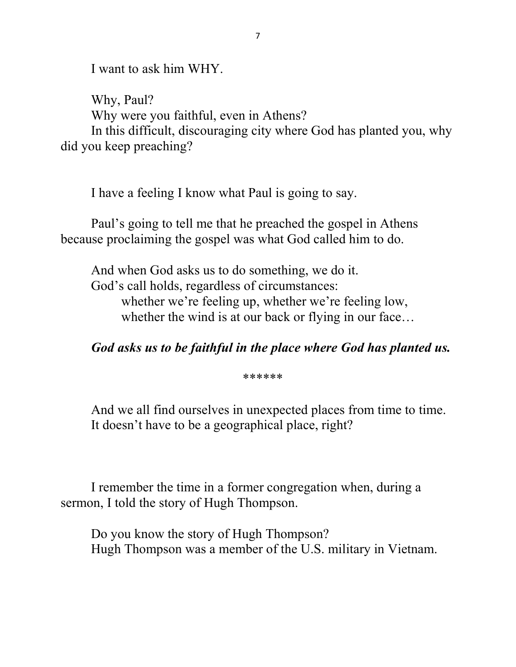I want to ask him WHY.

 Why, Paul? Why were you faithful, even in Athens? In this difficult, discouraging city where God has planted you, why did you keep preaching?

I have a feeling I know what Paul is going to say.

 Paul's going to tell me that he preached the gospel in Athens because proclaiming the gospel was what God called him to do.

 And when God asks us to do something, we do it. God's call holds, regardless of circumstances: whether we're feeling up, whether we're feeling low, whether the wind is at our back or flying in our face...

God asks us to be faithful in the place where God has planted us.

\*\*\*\*\*\*

 And we all find ourselves in unexpected places from time to time. It doesn't have to be a geographical place, right?

 I remember the time in a former congregation when, during a sermon, I told the story of Hugh Thompson.

 Do you know the story of Hugh Thompson? Hugh Thompson was a member of the U.S. military in Vietnam.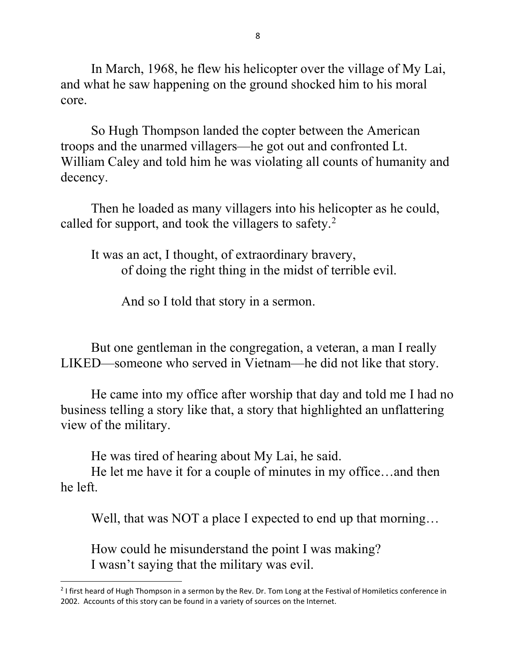In March, 1968, he flew his helicopter over the village of My Lai, and what he saw happening on the ground shocked him to his moral core.

 So Hugh Thompson landed the copter between the American troops and the unarmed villagers—he got out and confronted Lt. William Caley and told him he was violating all counts of humanity and decency.

 Then he loaded as many villagers into his helicopter as he could, called for support, and took the villagers to safety.<sup>2</sup>

 It was an act, I thought, of extraordinary bravery, of doing the right thing in the midst of terrible evil.

And so I told that story in a sermon.

 But one gentleman in the congregation, a veteran, a man I really LIKED—someone who served in Vietnam—he did not like that story.

He came into my office after worship that day and told me I had no business telling a story like that, a story that highlighted an unflattering view of the military.

He was tired of hearing about My Lai, he said.

 He let me have it for a couple of minutes in my office…and then he left.

Well, that was NOT a place I expected to end up that morning...

 How could he misunderstand the point I was making? I wasn't saying that the military was evil.

<sup>&</sup>lt;sup>2</sup> I first heard of Hugh Thompson in a sermon by the Rev. Dr. Tom Long at the Festival of Homiletics conference in 2002. Accounts of this story can be found in a variety of sources on the Internet.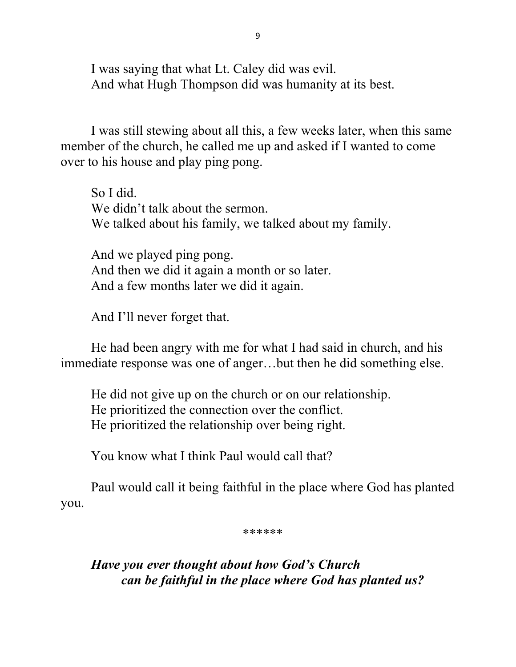I was saying that what Lt. Caley did was evil. And what Hugh Thompson did was humanity at its best.

 I was still stewing about all this, a few weeks later, when this same member of the church, he called me up and asked if I wanted to come over to his house and play ping pong.

 So I did. We didn't talk about the sermon. We talked about his family, we talked about my family.

 And we played ping pong. And then we did it again a month or so later. And a few months later we did it again.

And I'll never forget that.

 He had been angry with me for what I had said in church, and his immediate response was one of anger…but then he did something else.

He did not give up on the church or on our relationship. He prioritized the connection over the conflict. He prioritized the relationship over being right.

You know what I think Paul would call that?

 Paul would call it being faithful in the place where God has planted you.

\*\*\*\*\*\*

Have you ever thought about how God's Church can be faithful in the place where God has planted us?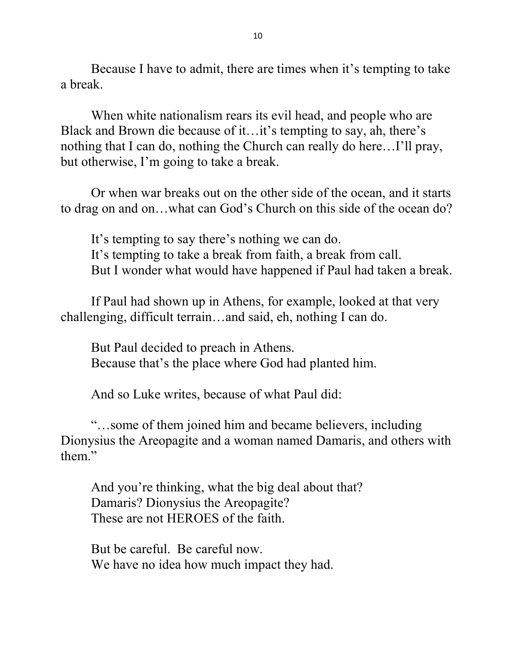Because I have to admit, there are times when it's tempting to take a break.

 When white nationalism rears its evil head, and people who are Black and Brown die because of it…it's tempting to say, ah, there's nothing that I can do, nothing the Church can really do here…I'll pray, but otherwise, I'm going to take a break.

 Or when war breaks out on the other side of the ocean, and it starts to drag on and on…what can God's Church on this side of the ocean do?

 It's tempting to say there's nothing we can do. It's tempting to take a break from faith, a break from call. But I wonder what would have happened if Paul had taken a break.

 If Paul had shown up in Athens, for example, looked at that very challenging, difficult terrain…and said, eh, nothing I can do.

 But Paul decided to preach in Athens. Because that's the place where God had planted him.

And so Luke writes, because of what Paul did:

"…some of them joined him and became believers, including Dionysius the Areopagite and a woman named Damaris, and others with them."

 And you're thinking, what the big deal about that? Damaris? Dionysius the Areopagite? These are not HEROES of the faith.

 But be careful. Be careful now. We have no idea how much impact they had.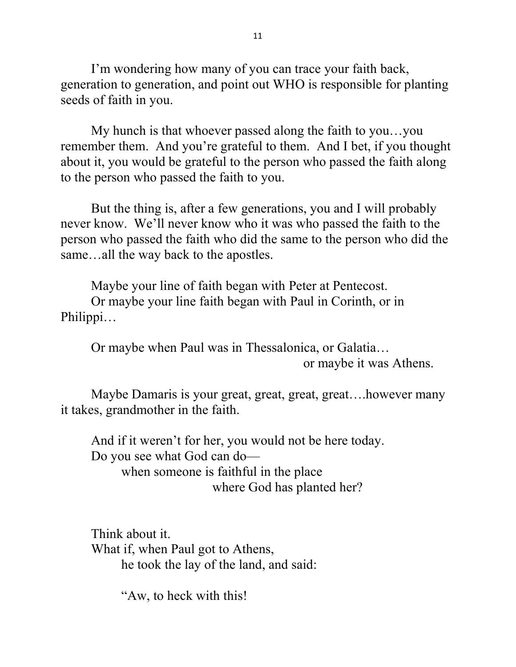I'm wondering how many of you can trace your faith back, generation to generation, and point out WHO is responsible for planting seeds of faith in you.

My hunch is that whoever passed along the faith to you…you remember them. And you're grateful to them. And I bet, if you thought about it, you would be grateful to the person who passed the faith along to the person who passed the faith to you.

 But the thing is, after a few generations, you and I will probably never know. We'll never know who it was who passed the faith to the person who passed the faith who did the same to the person who did the same…all the way back to the apostles.

 Maybe your line of faith began with Peter at Pentecost. Or maybe your line faith began with Paul in Corinth, or in Philippi…

 Or maybe when Paul was in Thessalonica, or Galatia… or maybe it was Athens.

 Maybe Damaris is your great, great, great, great….however many it takes, grandmother in the faith.

 And if it weren't for her, you would not be here today. Do you see what God can do when someone is faithful in the place where God has planted her?

 Think about it. What if, when Paul got to Athens, he took the lay of the land, and said:

"Aw, to heck with this!